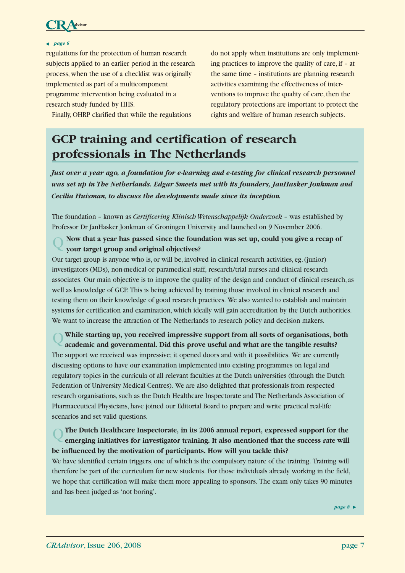

#### ▲*page 6*

regulations for the protection of human research subjects applied to an earlier period in the research process, when the use of a checklist was originally implemented as part of a multicomponent programme intervention being evaluated in a research study funded by HHS.

Finally, OHRP clarified that while the regulations

do not apply when institutions are only implementing practices to improve the quality of care, if – at the same time – institutions are planning research activities examining the effectiveness of interventions to improve the quality of care, then the regulatory protections are important to protect the rights and welfare of human research subjects.

# **GCP training and certification of research professionals in The Netherlands**

*Just over a year ago, a foundation for e-learning and e-testing for clinical research personnel was set up in The Netherlands. Edgar Smeets met with its founders, JanHasker Jonkman and Cecilia Huisman, to discuss the developments made since its inception.*

The foundation – known as *Certificering Klinisch Wetenschappelijk Onderzoek* – was established by Professor Dr JanHasker Jonkman of Groningen University and launched on 9 November 2006.

### **Now that a year has passed since the foundation was set up, could you give a recap of your target group and original objectives?** Q

Our target group is anyone who is, or will be, involved in clinical research activities, eg. (junior) investigators (MDs), non-medical or paramedical staff, research/trial nurses and clinical research associates. Our main objective is to improve the quality of the design and conduct of clinical research, as well as knowledge of GCP. This is being achieved by training those involved in clinical research and testing them on their knowledge of good research practices. We also wanted to establish and maintain systems for certification and examination, which ideally will gain accreditation by the Dutch authorities. We want to increase the attraction of The Netherlands to research policy and decision makers.

**While starting up, you received impressive support from all sorts of organisations, both academic and governmental. Did this prove useful and what are the tangible results?** The support we received was impressive; it opened doors and with it possibilities. We are currently discussing options to have our examination implemented into existing programmes on legal and regulatory topics in the curricula of all relevant faculties at the Dutch universities (through the Dutch Federation of University Medical Centres). We are also delighted that professionals from respected research organisations, such as the Dutch Healthcare Inspectorate and The Netherlands Association of Pharmaceutical Physicians, have joined our Editorial Board to prepare and write practical real-life scenarios and set valid questions. Q

# **The Dutch Healthcare Inspectorate, in its 2006 annual report, expressed support for the emerging initiatives for investigator training. It also mentioned that the success rate will be influenced by the motivation of participants. How will you tackle this?** Q

We have identified certain triggers, one of which is the compulsory nature of the training. Training will therefore be part of the curriculum for new students. For those individuals already working in the field, we hope that certification will make them more appealing to sponsors. The exam only takes 90 minutes and has been judged as 'not boring'.

 $page 8 \triangleright$